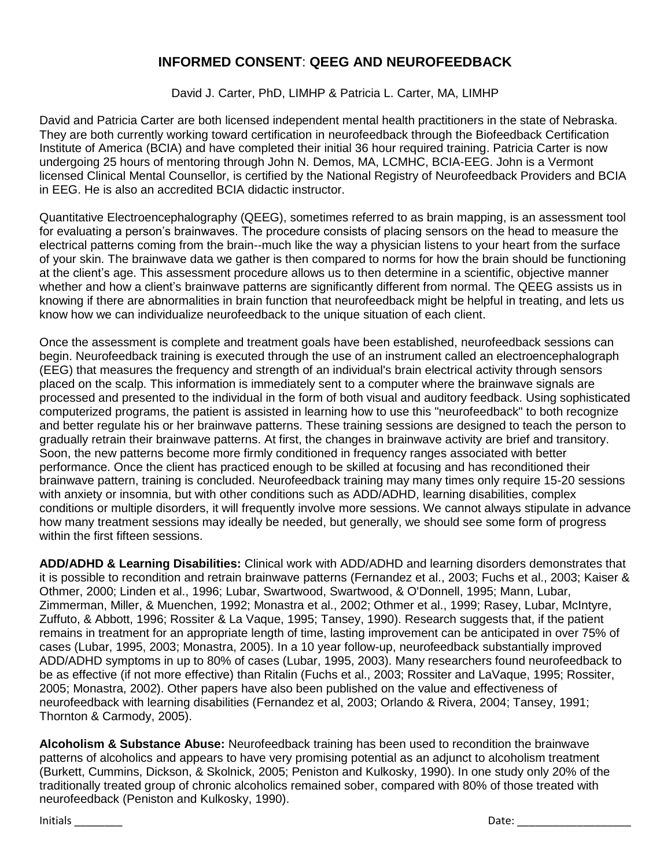## **INFORMED CONSENT**: **QEEG AND NEUROFEEDBACK**

David J. Carter, PhD, LIMHP & Patricia L. Carter, MA, LIMHP

David and Patricia Carter are both licensed independent mental health practitioners in the state of Nebraska. They are both currently working toward certification in neurofeedback through the Biofeedback Certification Institute of America (BCIA) and have completed their initial 36 hour required training. Patricia Carter is now undergoing 25 hours of mentoring through John N. Demos, MA, LCMHC, BCIA-EEG. John is a Vermont licensed Clinical Mental Counsellor, is certified by the National Registry of Neurofeedback Providers and BCIA in EEG. He is also an accredited BCIA didactic instructor.

Quantitative Electroencephalography (QEEG), sometimes referred to as brain mapping, is an assessment tool for evaluating a person's brainwaves. The procedure consists of placing sensors on the head to measure the electrical patterns coming from the brain--much like the way a physician listens to your heart from the surface of your skin. The brainwave data we gather is then compared to norms for how the brain should be functioning at the client's age. This assessment procedure allows us to then determine in a scientific, objective manner whether and how a client's brainwave patterns are significantly different from normal. The QEEG assists us in knowing if there are abnormalities in brain function that neurofeedback might be helpful in treating, and lets us know how we can individualize neurofeedback to the unique situation of each client.

Once the assessment is complete and treatment goals have been established, neurofeedback sessions can begin. Neurofeedback training is executed through the use of an instrument called an electroencephalograph (EEG) that measures the frequency and strength of an individual's brain electrical activity through sensors placed on the scalp. This information is immediately sent to a computer where the brainwave signals are processed and presented to the individual in the form of both visual and auditory feedback. Using sophisticated computerized programs, the patient is assisted in learning how to use this "neurofeedback" to both recognize and better regulate his or her brainwave patterns. These training sessions are designed to teach the person to gradually retrain their brainwave patterns. At first, the changes in brainwave activity are brief and transitory. Soon, the new patterns become more firmly conditioned in frequency ranges associated with better performance. Once the client has practiced enough to be skilled at focusing and has reconditioned their brainwave pattern, training is concluded. Neurofeedback training may many times only require 15-20 sessions with anxiety or insomnia, but with other conditions such as ADD/ADHD, learning disabilities, complex conditions or multiple disorders, it will frequently involve more sessions. We cannot always stipulate in advance how many treatment sessions may ideally be needed, but generally, we should see some form of progress within the first fifteen sessions.

**ADD/ADHD & Learning Disabilities:** Clinical work with ADD/ADHD and learning disorders demonstrates that it is possible to recondition and retrain brainwave patterns (Fernandez et al., 2003; Fuchs et al., 2003; Kaiser & Othmer, 2000; Linden et al., 1996; Lubar, Swartwood, Swartwood, & O'Donnell, 1995; Mann, Lubar, Zimmerman, Miller, & Muenchen, 1992; Monastra et al., 2002; Othmer et al., 1999; Rasey, Lubar, McIntyre, Zuffuto, & Abbott, 1996; Rossiter & La Vaque, 1995; Tansey, 1990). Research suggests that, if the patient remains in treatment for an appropriate length of time, lasting improvement can be anticipated in over 75% of cases (Lubar, 1995, 2003; Monastra, 2005). In a 10 year follow-up, neurofeedback substantially improved ADD/ADHD symptoms in up to 80% of cases (Lubar, 1995, 2003). Many researchers found neurofeedback to be as effective (if not more effective) than Ritalin (Fuchs et al., 2003; Rossiter and LaVaque, 1995; Rossiter, 2005; Monastra, 2002). Other papers have also been published on the value and effectiveness of neurofeedback with learning disabilities (Fernandez et al, 2003; Orlando & Rivera, 2004; Tansey, 1991; Thornton & Carmody, 2005).

**Alcoholism & Substance Abuse:** Neurofeedback training has been used to recondition the brainwave patterns of alcoholics and appears to have very promising potential as an adjunct to alcoholism treatment (Burkett, Cummins, Dickson, & Skolnick, 2005; Peniston and Kulkosky, 1990). In one study only 20% of the traditionally treated group of chronic alcoholics remained sober, compared with 80% of those treated with neurofeedback (Peniston and Kulkosky, 1990).

Initials \_\_\_\_\_\_\_\_ Date: \_\_\_\_\_\_\_\_\_\_\_\_\_\_\_\_\_\_\_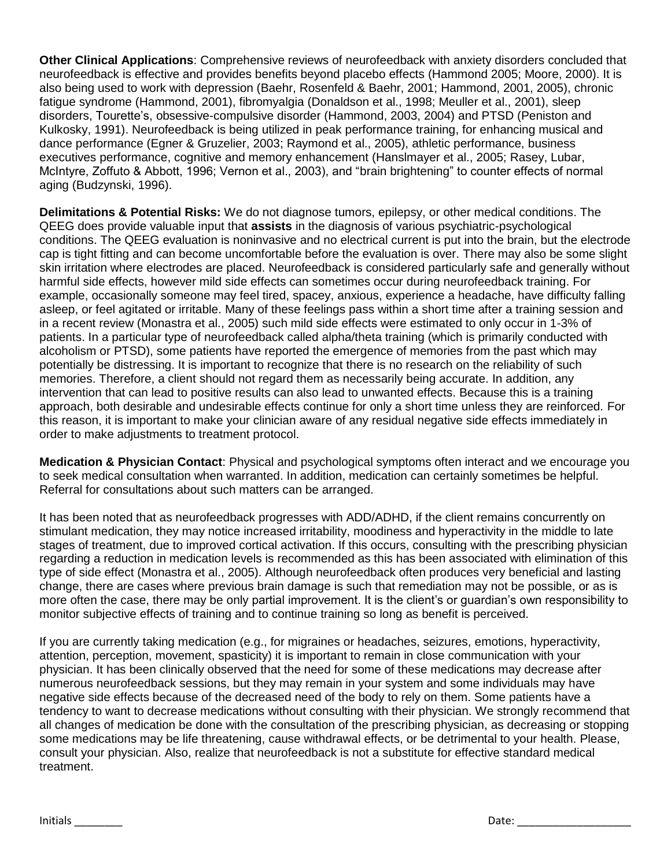**Other Clinical Applications**: Comprehensive reviews of neurofeedback with anxiety disorders concluded that neurofeedback is effective and provides benefits beyond placebo effects (Hammond 2005; Moore, 2000). It is also being used to work with depression (Baehr, Rosenfeld & Baehr, 2001; Hammond, 2001, 2005), chronic fatigue syndrome (Hammond, 2001), fibromyalgia (Donaldson et al., 1998; Meuller et al., 2001), sleep disorders, Tourette's, obsessive-compulsive disorder (Hammond, 2003, 2004) and PTSD (Peniston and Kulkosky, 1991). Neurofeedback is being utilized in peak performance training, for enhancing musical and dance performance (Egner & Gruzelier, 2003; Raymond et al., 2005), athletic performance, business executives performance, cognitive and memory enhancement (Hanslmayer et al., 2005; Rasey, Lubar, McIntyre, Zoffuto & Abbott, 1996; Vernon et al., 2003), and "brain brightening" to counter effects of normal aging (Budzynski, 1996).

**Delimitations & Potential Risks:** We do not diagnose tumors, epilepsy, or other medical conditions. The QEEG does provide valuable input that **assists** in the diagnosis of various psychiatric-psychological conditions. The QEEG evaluation is noninvasive and no electrical current is put into the brain, but the electrode cap is tight fitting and can become uncomfortable before the evaluation is over. There may also be some slight skin irritation where electrodes are placed. Neurofeedback is considered particularly safe and generally without harmful side effects, however mild side effects can sometimes occur during neurofeedback training. For example, occasionally someone may feel tired, spacey, anxious, experience a headache, have difficulty falling asleep, or feel agitated or irritable. Many of these feelings pass within a short time after a training session and in a recent review (Monastra et al., 2005) such mild side effects were estimated to only occur in 1-3% of patients. In a particular type of neurofeedback called alpha/theta training (which is primarily conducted with alcoholism or PTSD), some patients have reported the emergence of memories from the past which may potentially be distressing. It is important to recognize that there is no research on the reliability of such memories. Therefore, a client should not regard them as necessarily being accurate. In addition, any intervention that can lead to positive results can also lead to unwanted effects. Because this is a training approach, both desirable and undesirable effects continue for only a short time unless they are reinforced. For this reason, it is important to make your clinician aware of any residual negative side effects immediately in order to make adjustments to treatment protocol.

**Medication & Physician Contact**: Physical and psychological symptoms often interact and we encourage you to seek medical consultation when warranted. In addition, medication can certainly sometimes be helpful. Referral for consultations about such matters can be arranged.

It has been noted that as neurofeedback progresses with ADD/ADHD, if the client remains concurrently on stimulant medication, they may notice increased irritability, moodiness and hyperactivity in the middle to late stages of treatment, due to improved cortical activation. If this occurs, consulting with the prescribing physician regarding a reduction in medication levels is recommended as this has been associated with elimination of this type of side effect (Monastra et al., 2005). Although neurofeedback often produces very beneficial and lasting change, there are cases where previous brain damage is such that remediation may not be possible, or as is more often the case, there may be only partial improvement. It is the client's or guardian's own responsibility to monitor subjective effects of training and to continue training so long as benefit is perceived.

If you are currently taking medication (e.g., for migraines or headaches, seizures, emotions, hyperactivity, attention, perception, movement, spasticity) it is important to remain in close communication with your physician. It has been clinically observed that the need for some of these medications may decrease after numerous neurofeedback sessions, but they may remain in your system and some individuals may have negative side effects because of the decreased need of the body to rely on them. Some patients have a tendency to want to decrease medications without consulting with their physician. We strongly recommend that all changes of medication be done with the consultation of the prescribing physician, as decreasing or stopping some medications may be life threatening, cause withdrawal effects, or be detrimental to your health. Please, consult your physician. Also, realize that neurofeedback is not a substitute for effective standard medical treatment.